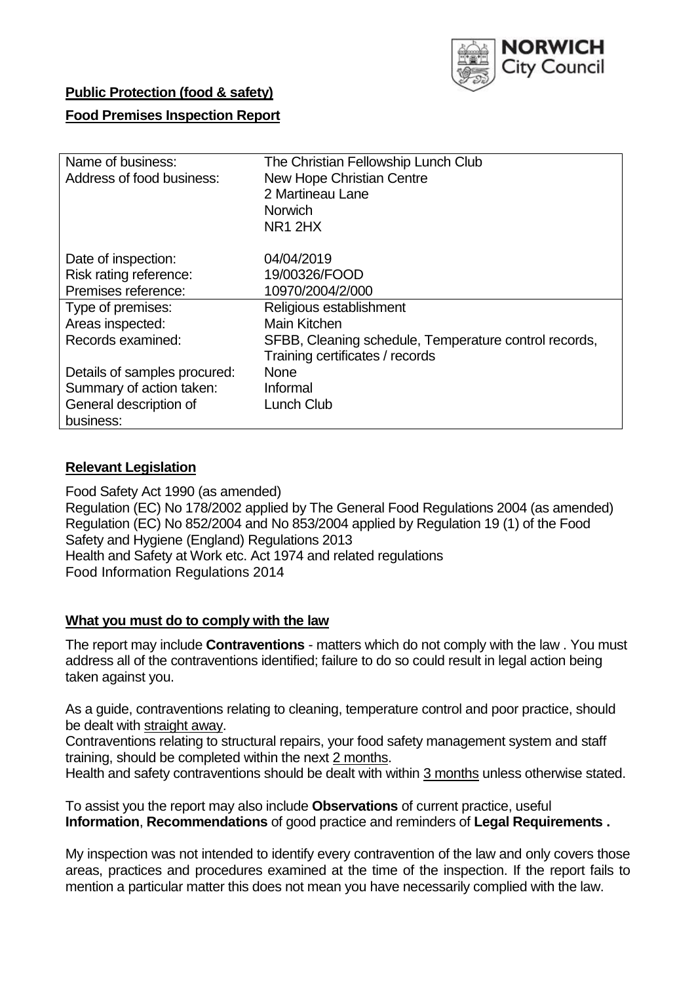

# **Public Protection (food & safety)**

### **Food Premises Inspection Report**

| Name of business:<br>Address of food business:                       | The Christian Fellowship Lunch Club<br><b>New Hope Christian Centre</b><br>2 Martineau Lane<br>Norwich<br>NR <sub>1</sub> 2H <sub>X</sub> |  |  |  |
|----------------------------------------------------------------------|-------------------------------------------------------------------------------------------------------------------------------------------|--|--|--|
| Date of inspection:<br>Risk rating reference:<br>Premises reference: | 04/04/2019<br>19/00326/FOOD<br>10970/2004/2/000                                                                                           |  |  |  |
| Type of premises:                                                    | Religious establishment                                                                                                                   |  |  |  |
| Areas inspected:                                                     | Main Kitchen                                                                                                                              |  |  |  |
| Records examined:                                                    | SFBB, Cleaning schedule, Temperature control records,<br>Training certificates / records                                                  |  |  |  |
| Details of samples procured:                                         | <b>None</b>                                                                                                                               |  |  |  |
| Summary of action taken:                                             | Informal                                                                                                                                  |  |  |  |
| General description of<br>business:                                  | Lunch Club                                                                                                                                |  |  |  |

### **Relevant Legislation**

Food Safety Act 1990 (as amended) Regulation (EC) No 178/2002 applied by The General Food Regulations 2004 (as amended) Regulation (EC) No 852/2004 and No 853/2004 applied by Regulation 19 (1) of the Food Safety and Hygiene (England) Regulations 2013 Health and Safety at Work etc. Act 1974 and related regulations Food Information Regulations 2014

### **What you must do to comply with the law**

The report may include **Contraventions** - matters which do not comply with the law . You must address all of the contraventions identified; failure to do so could result in legal action being taken against you.

As a guide, contraventions relating to cleaning, temperature control and poor practice, should be dealt with straight away.

Contraventions relating to structural repairs, your food safety management system and staff training, should be completed within the next 2 months.

Health and safety contraventions should be dealt with within 3 months unless otherwise stated.

To assist you the report may also include **Observations** of current practice, useful **Information**, **Recommendations** of good practice and reminders of **Legal Requirements .**

My inspection was not intended to identify every contravention of the law and only covers those areas, practices and procedures examined at the time of the inspection. If the report fails to mention a particular matter this does not mean you have necessarily complied with the law.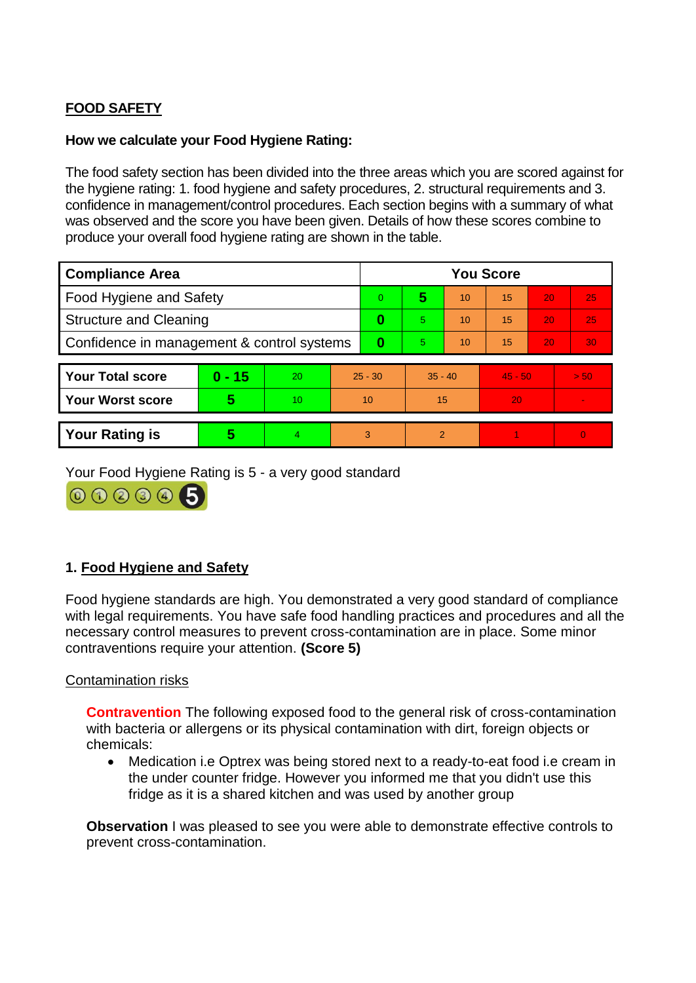# **FOOD SAFETY**

## **How we calculate your Food Hygiene Rating:**

The food safety section has been divided into the three areas which you are scored against for the hygiene rating: 1. food hygiene and safety procedures, 2. structural requirements and 3. confidence in management/control procedures. Each section begins with a summary of what was observed and the score you have been given. Details of how these scores combine to produce your overall food hygiene rating are shown in the table.

| <b>Compliance Area</b>                     |          |    | <b>You Score</b> |    |                |    |           |    |          |  |  |
|--------------------------------------------|----------|----|------------------|----|----------------|----|-----------|----|----------|--|--|
| Food Hygiene and Safety                    |          |    | $\Omega$         | 5  | 10             | 15 | 20        | 25 |          |  |  |
| <b>Structure and Cleaning</b>              |          |    | 0                | 5  | 10             | 15 | 20        | 25 |          |  |  |
| Confidence in management & control systems |          |    | 0                | 5. | 10             | 15 | 20        | 30 |          |  |  |
|                                            |          |    |                  |    |                |    |           |    |          |  |  |
| <b>Your Total score</b>                    | $0 - 15$ | 20 | $25 - 30$        |    | $35 - 40$      |    | $45 - 50$ |    | > 50     |  |  |
| <b>Your Worst score</b>                    | 5        | 10 | 10               |    | 15             |    | 20        |    |          |  |  |
|                                            |          |    |                  |    |                |    |           |    |          |  |  |
| <b>Your Rating is</b>                      | 5        |    | 3                |    | $\mathfrak{p}$ |    |           |    | $\Omega$ |  |  |

Your Food Hygiene Rating is 5 - a very good standard

000006

# **1. Food Hygiene and Safety**

Food hygiene standards are high. You demonstrated a very good standard of compliance with legal requirements. You have safe food handling practices and procedures and all the necessary control measures to prevent cross-contamination are in place. Some minor contraventions require your attention. **(Score 5)**

### Contamination risks

**Contravention** The following exposed food to the general risk of cross-contamination with bacteria or allergens or its physical contamination with dirt, foreign objects or chemicals:

 Medication i.e Optrex was being stored next to a ready-to-eat food i.e cream in the under counter fridge. However you informed me that you didn't use this fridge as it is a shared kitchen and was used by another group

**Observation** I was pleased to see you were able to demonstrate effective controls to prevent cross-contamination.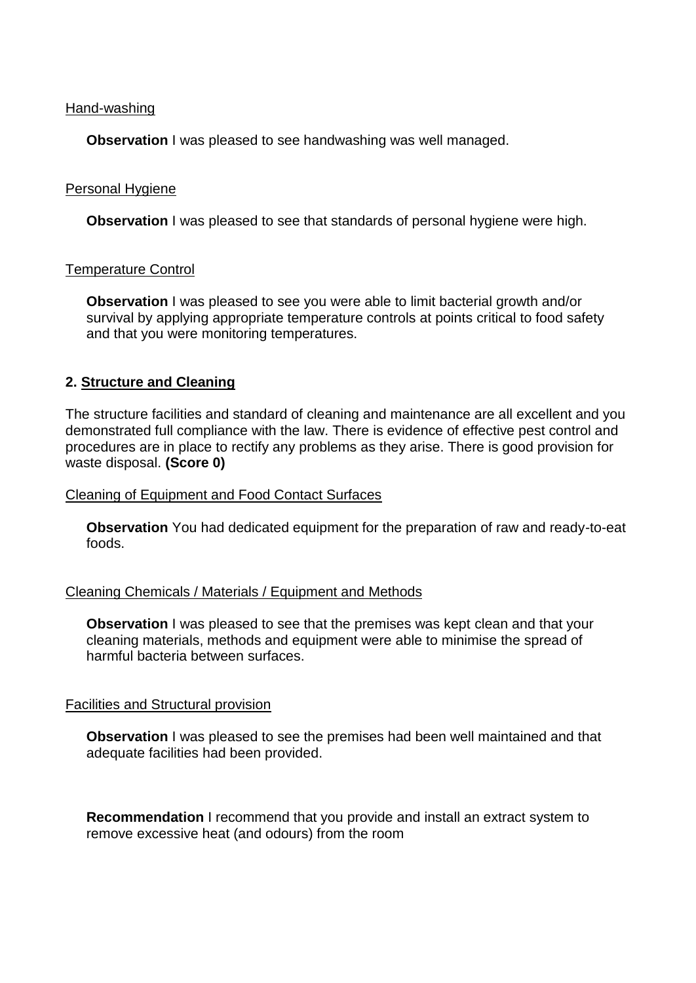#### Hand-washing

**Observation** I was pleased to see handwashing was well managed.

### Personal Hygiene

**Observation** I was pleased to see that standards of personal hygiene were high.

### Temperature Control

**Observation** I was pleased to see you were able to limit bacterial growth and/or survival by applying appropriate temperature controls at points critical to food safety and that you were monitoring temperatures.

### **2. Structure and Cleaning**

The structure facilities and standard of cleaning and maintenance are all excellent and you demonstrated full compliance with the law. There is evidence of effective pest control and procedures are in place to rectify any problems as they arise. There is good provision for waste disposal. **(Score 0)**

#### Cleaning of Equipment and Food Contact Surfaces

**Observation** You had dedicated equipment for the preparation of raw and ready-to-eat foods.

#### Cleaning Chemicals / Materials / Equipment and Methods

**Observation** I was pleased to see that the premises was kept clean and that your cleaning materials, methods and equipment were able to minimise the spread of harmful bacteria between surfaces.

#### Facilities and Structural provision

**Observation** I was pleased to see the premises had been well maintained and that adequate facilities had been provided.

**Recommendation** I recommend that you provide and install an extract system to remove excessive heat (and odours) from the room